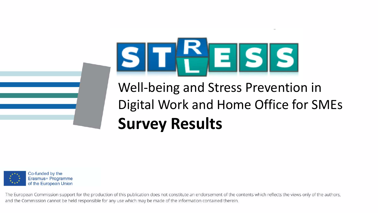

### Well-being and Stress Prevention in Digital Work and Home Office for SMEs **Survey Results**



The European Commission support for the production of this publication does not constitute an endorsement of the contents which reflects the views only of the authors, and the Commission cannot be held responsible for any use which may be made of the information contained therein.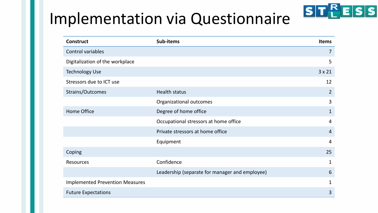### Implementation via Questionnaire

| <b>Construct</b>                       | Sub-items                                      | <b>Items</b>   |
|----------------------------------------|------------------------------------------------|----------------|
| Control variables                      |                                                | $\overline{7}$ |
| Digitalization of the workplace        |                                                | 5              |
| <b>Technology Use</b>                  |                                                | $3 \times 21$  |
| Stressors due to ICT use               |                                                | 12             |
| Strains/Outcomes                       | <b>Health status</b>                           | $\overline{2}$ |
|                                        | Organizational outcomes                        | 3              |
| <b>Home Office</b>                     | Degree of home office                          | $\mathbf{1}$   |
|                                        | Occupational stressors at home office          | $\overline{4}$ |
|                                        | Private stressors at home office               | $\overline{4}$ |
|                                        | Equipment                                      | $\overline{4}$ |
| Coping                                 |                                                | 25             |
| <b>Resources</b>                       | Confidence                                     | 1              |
|                                        | Leadership (separate for manager and employee) | 6              |
| <b>Implemented Prevention Measures</b> |                                                | 1              |
| <b>Future Expectations</b>             |                                                | 3              |

STPESS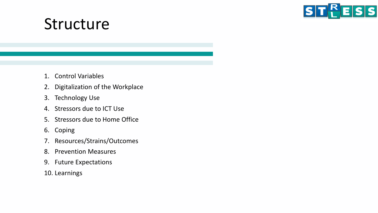

#### Structure

- 1. Control Variables
- 2. Digitalization of the Workplace
- 3. Technology Use
- 4. Stressors due to ICT Use
- 5. Stressors due to Home Office
- 6. Coping
- 7. Resources/Strains/Outcomes
- 8. Prevention Measures
- 9. Future Expectations
- 10. Learnings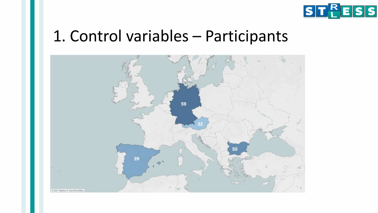

#### 1. Control variables – Participants

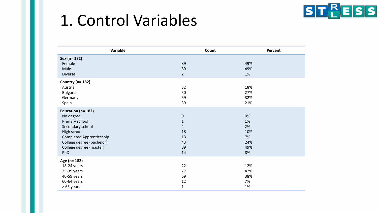#### 1. Control Variables



| Variable                                                                                                                                                                               | Count                                                                     | Percent                                         |
|----------------------------------------------------------------------------------------------------------------------------------------------------------------------------------------|---------------------------------------------------------------------------|-------------------------------------------------|
| Sex (n= 182)<br>Female<br>Male<br><b>Diverse</b>                                                                                                                                       | 89<br>89<br>$2^{\circ}$                                                   | 49%<br>49%<br>1%                                |
| Country ( $n = 182$ )<br>Austria<br><b>Bulgaria</b><br>Germany<br>Spain                                                                                                                | 32<br>50<br>59<br>39                                                      | 18%<br>27%<br>32%<br>21%                        |
| Education (n= 182)<br>No degree<br>Primary school<br>Secondary school<br>High school<br><b>Completed Apprenticeship</b><br>College degree (bachelor)<br>College degree (master)<br>PhD | $\pmb{0}$<br>$\mathbf{1}$<br>$\overline{4}$<br>18<br>13<br>43<br>89<br>14 | 0%<br>1%<br>2%<br>10%<br>7%<br>24%<br>49%<br>8% |
| Age (n= 182)<br>18-24 years<br>25-39 years<br>40-59 years<br>60-64 years<br>> 65 years                                                                                                 | 22<br>77<br>69<br>12<br>$\mathbf{1}$                                      | 12%<br>42%<br>38%<br>7%<br>1%                   |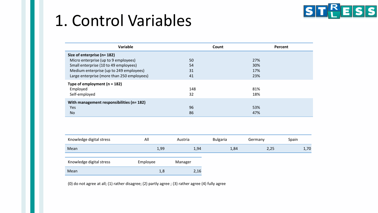### 1. Control Variables



| Variable                                   | Count | Percent |  |
|--------------------------------------------|-------|---------|--|
| Size of enterprise (n= 182)                |       |         |  |
| Micro enterprise (up to 9 employees)       | 50    | 27%     |  |
| Small enterprise (10 to 49 employees)      | 54    | 30%     |  |
| Medium enterprise (up to 249 employees)    | 31    | 17%     |  |
| Large enterprise (more than 250 employees) | 41    | 23%     |  |
| Type of employment $(n = 182)$             |       |         |  |
| Employed                                   | 148   | 81%     |  |
| Self-employed                              | 32    | 18%     |  |
| With management responsibilities (n= 182)  |       |         |  |
| Yes                                        | 96    | 53%     |  |
| <b>No</b>                                  | 86    | 47%     |  |

| Knowledge digital stress | All      | Austria | <b>Bulgaria</b> | Germany | Spain |
|--------------------------|----------|---------|-----------------|---------|-------|
| Mean                     | 1,99     | 1,94    | 1,84            | 2,25    | 1,70  |
| Knowledge digital stress | Employee | Manager |                 |         |       |
| Mean                     | 1,8      | 2,16    |                 |         |       |

(0) do not agree at all; (1) rather disagree; (2) partly agree ; (3) rather agree (4) fully agree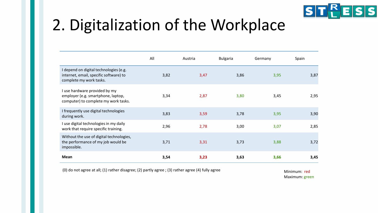

# 2. Digitalization of the Workplace

|                                                                                                             | All  | Austria | <b>Bulgaria</b> | Germany | Spain |
|-------------------------------------------------------------------------------------------------------------|------|---------|-----------------|---------|-------|
| I depend on digital technologies (e.g.<br>internet, email, specific software) to<br>complete my work tasks. | 3,82 | 3,47    | 3,86            | 3,95    | 3,87  |
| I use hardware provided by my<br>employer (e.g. smartphone, laptop,<br>computer) to complete my work tasks. | 3,34 | 2,87    | 3,80            | 3,45    | 2,95  |
| I frequently use digital technologies<br>during work.                                                       | 3,83 | 3,59    | 3,78            | 3,95    | 3,90  |
| I use digital technologies in my daily<br>work that require specific training.                              | 2,96 | 2,78    | 3,00            | 3,07    | 2,85  |
| Without the use of digital technologies,<br>the performance of my job would be<br>impossible.               | 3,71 | 3,31    | 3,73            | 3,88    | 3,72  |
| <b>Mean</b>                                                                                                 | 3,54 | 3,23    | 3,63            | 3,66    | 3,45  |

(0) do not agree at all; (1) rather disagree; (2) partly agree ; (3) rather agree (4) fully agree  $M$ inimum: red

Maximum: green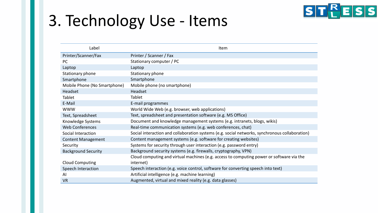# 3. Technology Use - Items



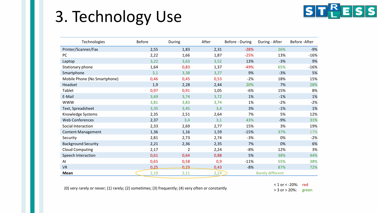# 3. Technology Use

| Technologies                 | <b>Before</b> | During | After | Before - During | During - After          | Before - After |
|------------------------------|---------------|--------|-------|-----------------|-------------------------|----------------|
| Printer/Scanner/Fax          | 2,55          | 1,83   | 2,31  | $-28%$          | 26%                     | $-9%$          |
| PC                           | 2,22          | 1,66   | 1,87  | $-25%$          | 13%                     | $-16%$         |
| Laptop                       | 3,22          | 3,63   | 3,52  | 13%             | $-3%$                   | 9%             |
| Stationary phone             | 1,64          | 0,83   | 1,37  | $-49%$          | 65%                     | $-16%$         |
| Smartphone                   | 3,1           | 3,38   | 3,27  | 9%              | $-3%$                   | 5%             |
| Mobile Phone (No Smartphone) | 0,46          | 0,45   | 0,53  | $-2%$           | 18%                     | 15%            |
| Headset                      | 1,9           | 2,28   | 2,44  | 20%             | 7%                      | 28%            |
| Tablet                       | 0,97          | 0,91   | 1,05  | $-6%$           | 15%                     | 8%             |
| E-Mail                       | 3,69          | 3,74   | 3,72  | 1%              | $-1%$                   | 1%             |
| <b>WWW</b>                   | 3,81          | 3,83   | 3,74  | 1%              | $-2%$                   | $-2%$          |
| Text, Spreadsheet            | 3,35          | 3,45   | 3,4   | 3%              | $-1%$                   | 1%             |
| Knowledge Systems            | 2,35          | 2,51   | 2,64  | 7%              | 5%                      | 12%            |
| <b>Web Conferences</b>       | 2,37          | 3,4    | 3,1   | 43%             | $-9%$                   | 31%            |
| Social Interaction           | 2,33          | 2,69   | 2,77  | 15%             | 3%                      | 19%            |
| <b>Content Management</b>    | 1,36          | 1,16   | 1,59  | $-15%$          | 37%                     | 17%            |
| Security                     | 2,81          | 2,73   | 2,74  | $-3%$           | 0%                      | $-2%$          |
| <b>Background Security</b>   | 2,21          | 2,36   | 2,35  | 7%              | 0%                      | 6%             |
| <b>Cloud Computing</b>       | 2,17          | 2      | 2,24  | -8%             | 12%                     | 3%             |
| Speech Interaction           | 0,61          | 0,64   | 0,88  | 5%              | 38%                     | 44%            |
| AI                           | 0,65          | 0,58   | 0,9   | $-11%$          | 55%                     | 38%            |
| <b>VR</b>                    | 0,25          | 0,23   | 0,43  | $-8%$           | 87%                     | 72%            |
| Mean                         | 2,10          | 2,11   | 2,23  |                 | <b>Barely different</b> |                |

(0) very rarely or never; (1) rarely; (2) sometimes; (3) frequently; (4) very often or constantly

< 1 or < -20%: red > 3 or > 20%: green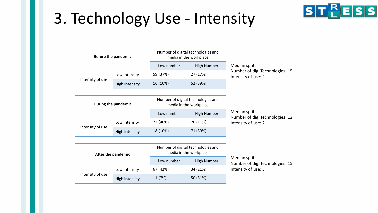# 3. Technology Use - Intensity



|                  | <b>Before the pandemic</b> |            | Number of digital technologies and<br>media in the workplace |                                                        |
|------------------|----------------------------|------------|--------------------------------------------------------------|--------------------------------------------------------|
|                  |                            | Low number | High Number                                                  | Median split:                                          |
|                  | Low intensity              | 59 (37%)   | 27 (17%)                                                     | Number of dig. Technologies: 15<br>Intensity of use: 2 |
| Intensity of use | High intensity             | 16 (10%)   | 52 (39%)                                                     |                                                        |

| During the pandemic                |               |          | Number of digital technologies and<br>media in the workplace |                                                  |
|------------------------------------|---------------|----------|--------------------------------------------------------------|--------------------------------------------------|
|                                    |               |          | High Number                                                  | Median split:<br>Number of dig. Technologies: 12 |
|                                    | Low intensity |          | 20 (11%)                                                     | Intensity of use: 2                              |
| Intensity of use<br>High intensity |               | 18 (10%) | 71 (39%)                                                     |                                                  |

| After the pandemic |                | Number of digital technologies and<br>media in the workplace |                    |                        |
|--------------------|----------------|--------------------------------------------------------------|--------------------|------------------------|
|                    |                | Low number                                                   | <b>High Number</b> | Median sp<br>Number of |
| Low intensity      |                | 67 (42%)                                                     | 34 (21%)           | Intensity o            |
| Intensity of use   | High intensity | 11 (7%)                                                      | 50 (31%)           |                        |

 $olit:$ of dig. Technologies: 15 of use: 3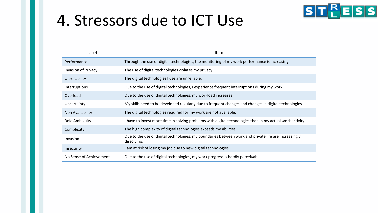#### 4. Stressors due to ICT Use



**ST<sup>R</sup>ESS**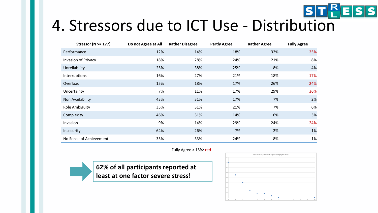

# STEESS<br>4. Stressors due to ICT Use - Distribution

| Stressor ( $N \ge 177$ )   | Do not Agree at All | <b>Rather Disagree</b> | <b>Partly Agree</b> | <b>Rather Agree</b> | <b>Fully Agree</b> |
|----------------------------|---------------------|------------------------|---------------------|---------------------|--------------------|
| Performance                | 12%                 | 14%                    | 18%                 | 32%                 | 25%                |
| <b>Invasion of Privacy</b> | 18%                 | 28%                    | 24%                 | 21%                 | 8%                 |
| Unreliability              | 25%                 | 38%                    | 25%                 | 8%                  | 4%                 |
| Interruptions              | 16%                 | 27%                    | 21%                 | 18%                 | 17%                |
| Overload                   | 15%                 | 18%                    | 17%                 | 26%                 | 24%                |
| Uncertainty                | 7%                  | 11%                    | 17%                 | 29%                 | 36%                |
| Non Availability           | 43%                 | 31%                    | 17%                 | 7%                  | 2%                 |
| <b>Role Ambiguity</b>      | 35%                 | 31%                    | 21%                 | 7%                  | 6%                 |
| Complexity                 | 46%                 | 31%                    | 14%                 | 6%                  | 3%                 |
| Invasion                   | 9%                  | 14%                    | 29%                 | 24%                 | 24%                |
| Insecurity                 | 64%                 | 26%                    | 7%                  | 2%                  | 1%                 |
| No Sense of Achievement    | 35%                 | 33%                    | 24%                 | 8%                  | 1%                 |

#### Fully Agree > 15%: red



**62% of all participants reported at least at one factor severe stress!**

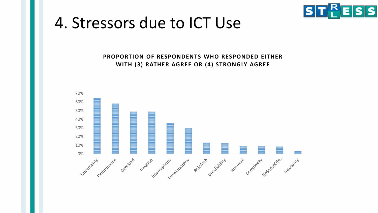

#### 4. Stressors due to ICT Use

**PROPORTION OF RESPONDENTS WHO RESPONDED EITHER WITH (3) RATHER AGREE OR (4) STRONGLY AGREE**

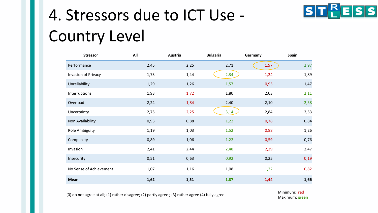# 4. Stressors due to ICT Use - Country Level



(0) do not agree at all; (1) rather disagree; (2) partly agree ; (3) rather agree (4) fully agree  $\blacksquare$  Minimum: red

Maximum: green

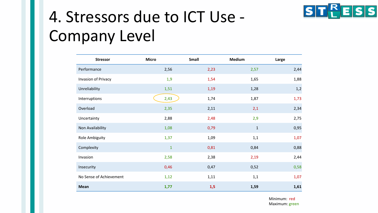

# 4. Stressors due to ICT Use - Company Level

| <b>Stressor</b>         | <b>Micro</b> | Small | Medium       | Large |
|-------------------------|--------------|-------|--------------|-------|
| Performance             | 2,56         | 2,23  | 2,57         | 2,44  |
| Invasion of Privacy     | 1,9          | 1,54  | 1,65         | 1,88  |
| Unreliability           | 1,51         | 1,19  | 1,28         | 1,2   |
| Interruptions           | 2,43         | 1,74  | 1,87         | 1,73  |
| Overload                | 2,35         | 2,11  | 2,1          | 2,34  |
| Uncertainty             | 2,88         | 2,48  | 2,9          | 2,75  |
| Non Availability        | 1,08         | 0,79  | $\mathbf{1}$ | 0,95  |
| Role Ambiguity          | 1,37         | 1,09  | 1,1          | 1,07  |
| Complexity              | $\mathbf{1}$ | 0,81  | 0,84         | 0,88  |
| Invasion                | 2,58         | 2,38  | 2,19         | 2,44  |
| Insecurity              | 0,46         | 0,47  | 0,52         | 0,58  |
| No Sense of Achievement | 1,12         | 1,11  | 1,1          | 1,07  |
| <b>Mean</b>             | 1,77         | 1,5   | 1,59         | 1,61  |

Minimum: red Maximum: green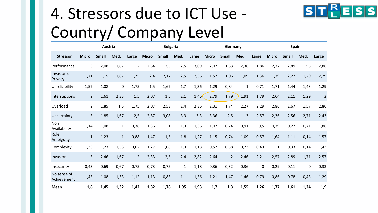# 4. Stressors due to ICT Use - Country/ Company Level



|                            |                | Austria      |              |                |              | <b>Bulgaria</b> |              |       |              | Germany        |                |       |              | Spain        |      |                |
|----------------------------|----------------|--------------|--------------|----------------|--------------|-----------------|--------------|-------|--------------|----------------|----------------|-------|--------------|--------------|------|----------------|
| <b>Stressor</b>            | <b>Micro</b>   | <b>Small</b> | Med.         | Large          | <b>Micro</b> | <b>Small</b>    | Med.         | Large | <b>Micro</b> | <b>Small</b>   | Med.           | Large | <b>Micro</b> | <b>Small</b> | Med. | Large          |
| Performance                | 3              | 2,08         | 1,67         | $\overline{2}$ | 2,64         | 2,5             | 2,5          | 3,09  | 2,07         | 1,83           | 2,36           | 1,86  | 2,77         | 2,89         | 3,5  | 2,86           |
| Invasion of<br>Privacy     | 1,71           | 1,15         | 1,67         | 1,75           | 2,4          | 2,17            | 2,5          | 2,36  | 1,57         | 1,06           | 1,09           | 1,36  | 1,79         | 2,22         | 1,29 | 2,29           |
| Unreliability              | 1,57           | 1,08         | $\mathbf 0$  | 1,75           | 1,5          | 1,67            | 1,7          | 1,36  | 1,29         | 0,84           | $\mathbf{1}$   | 0,71  | 1,71         | 1,44         | 1,43 | 1,29           |
| Interruptions              | $\overline{2}$ | 1,61         | 2,33         | 1,5            | 2,07         | 1,5             | 2,1          | 1,46  | 2,79         | 1,79           | 1,91           | 1,79  | 2,64         | 2,11         | 1,29 | $\overline{2}$ |
| Overload                   | $\overline{2}$ | 1,85         | 1,5          | 1,75           | 2,07         | 2,58            | 2,4          | 2,36  | 2,31         | 1,74           | 2,27           | 2,29  | 2,86         | 2,67         | 1,57 | 2,86           |
| Uncertainty                | 3              | 1,85         | 1,67         | 2,5            | 2,87         | 3,08            | 3,3          | 3,3   | 3,36         | 2,5            | $\overline{3}$ | 2,57  | 2,36         | 2,56         | 2,71 | 2,43           |
| Non<br>Availability        | 1,14           | 1,08         | $\mathbf{1}$ | 0,38           | 1,36         | $\mathbf{1}$    | 1,3          | 1,36  | 1,07         | 0,74           | 0,91           | 0,5   | 0,79         | 0,22         | 0,71 | 1,86           |
| Role<br>Ambiguity          | $\mathbf{1}$   | 1,23         | $\mathbf{1}$ | 0,88           | 1,47         | 1,5             | 1,8          | 1,27  | 1,15         | 0,74           | 1,09           | 0,57  | 1,64         | 1,11         | 0,14 | 1,57           |
| Complexity                 | 1,33           | 1,23         | 1,33         | 0,62           | 1,27         | 1,08            | 1,3          | 1,18  | 0,57         | 0,58           | 0,73           | 0,43  | $\mathbf{1}$ | 0,33         | 0,14 | 1,43           |
| Invasion                   | 3              | 2,46         | 1,67         | $\overline{2}$ | 2,33         | 2,5             | 2,4          | 2,82  | 2,64         | $\overline{2}$ | 2,46           | 2,21  | 2,57         | 2,89         | 1,71 | 2,57           |
| Insecurity                 | 0,43           | 0,69         | 0,67         | 0,75           | 0,73         | 0,75            | $\mathbf{1}$ | 1,18  | 0,36         | 0,32           | 0,36           | 0     | 0,29         | 0,11         | 0    | 0,33           |
| No sense of<br>Achievement | 1,43           | 1,08         | 1,33         | 1,12           | 1,13         | 0,83            | 1,1          | 1,36  | 1,21         | 1,47           | 1,46           | 0,79  | 0,86         | 0,78         | 0,43 | 1,29           |
| Mean                       | 1,8            | 1,45         | 1,32         | 1,42           | 1,82         | 1,76            | 1,95         | 1,93  | 1,7          | 1,3            | 1,55           | 1,26  | 1,77         | 1,61         | 1,24 | 1,9            |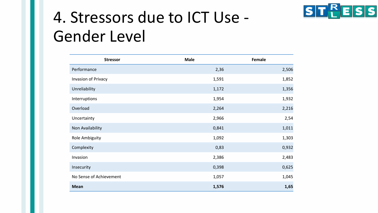

### 4. Stressors due to ICT Use - Gender Level

| <b>Stressor</b>         | <b>Male</b> | Female |
|-------------------------|-------------|--------|
| Performance             | 2,36        | 2,506  |
| Invasion of Privacy     | 1,591       | 1,852  |
| Unreliability           | 1,172       | 1,356  |
| Interruptions           | 1,954       | 1,932  |
| Overload                | 2,264       | 2,216  |
| Uncertainty             | 2,966       | 2,54   |
| Non Availability        | 0,841       | 1,011  |
| Role Ambiguity          | 1,092       | 1,303  |
| Complexity              | 0,83        | 0,932  |
| Invasion                | 2,386       | 2,483  |
| Insecurity              | 0,398       | 0,625  |
| No Sense of Achievement | 1,057       | 1,045  |
| <b>Mean</b>             | 1,576       | 1,65   |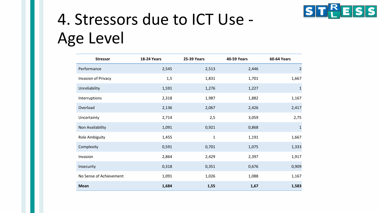

# 4. Stressors due to ICT Use - Age Level

| <b>Stressor</b>            | <b>18-24 Years</b> | <b>25-39 Years</b> | <b>40-59 Years</b> | <b>60-64 Years</b> |
|----------------------------|--------------------|--------------------|--------------------|--------------------|
| Performance                | 2,545              | 2,513              | 2,446              | $\overline{2}$     |
| <b>Invasion of Privacy</b> | 1,5                | 1,831              | 1,701              | 1,667              |
| Unreliability              | 1,591              | 1,276              | 1,227              | $\mathbf 1$        |
| Interruptions              | 2,318              | 1,987              | 1,882              | 1,167              |
| Overload                   | 2,136              | 2,067              | 2,426              | 2,417              |
| Uncertainty                | 2,714              | 2,5                | 3,059              | 2,75               |
| Non Availability           | 1,091              | 0,921              | 0,868              | $\mathbf 1$        |
| <b>Role Ambiguity</b>      | 1,455              | $\mathbf 1$        | 1,191              | 1,667              |
| Complexity                 | 0,591              | 0,701              | 1,075              | 1,333              |
| Invasion                   | 2,864              | 2,429              | 2,397              | 1,917              |
| Insecurity                 | 0,318              | 0,351              | 0,676              | 0,909              |
| No Sense of Achievement    | 1,091              | 1,026              | 1,088              | 1,167              |
| <b>Mean</b>                | 1,684              | 1,55               | 1,67               | 1,583              |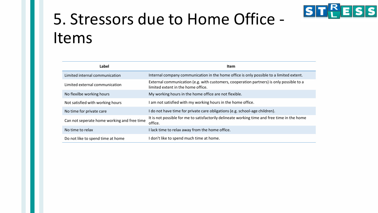

# 5. Stressors due to Home Office - Items

| Label                                       | Item                                                                                                                           |
|---------------------------------------------|--------------------------------------------------------------------------------------------------------------------------------|
| Limited internal communication              | Internal company communication in the home office is only possible to a limited extent.                                        |
| Limited external communication              | External communication (e.g. with customers, cooperation partners) is only possible to a<br>limited extent in the home office. |
| No flexilbe working hours                   | My working hours in the home office are not flexible.                                                                          |
| Not satisfied with working hours            | am not satisfied with my working hours in the home office.                                                                     |
| No time for private care                    | I do not have time for private care obligations (e.g. school-age children).                                                    |
| Can not seperate home working and free time | It is not possible for me to satisfactorily delineate working time and free time in the home<br>office.                        |
| No time to relax                            | I lack time to relax away from the home office.                                                                                |
| Do not like to spend time at home           | I don't like to spend much time at home.                                                                                       |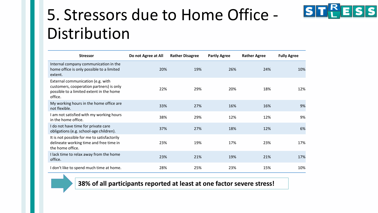

| <b>Stressor</b>                                                                                                                      | Do not Agree at All | <b>Rather Disagree</b> | <b>Partly Agree</b> | <b>Rather Agree</b> | <b>Fully Agree</b> |
|--------------------------------------------------------------------------------------------------------------------------------------|---------------------|------------------------|---------------------|---------------------|--------------------|
| Internal company communication in the<br>home office is only possible to a limited<br>extent.                                        | 20%                 | 19%                    | 26%                 | 24%                 | 10%                |
| External communication (e.g. with<br>customers, cooperation partners) is only<br>possible to a limited extent in the home<br>office. | 22%                 | 29%                    | 20%                 | 18%                 | 12%                |
| My working hours in the home office are<br>not flexible.                                                                             | 33%                 | 27%                    | 16%                 | 16%                 | 9%                 |
| I am not satisfied with my working hours<br>in the home office.                                                                      | 38%                 | 29%                    | 12%                 | 12%                 | 9%                 |
| I do not have time for private care<br>obligations (e.g. school-age children).                                                       | 37%                 | 27%                    | 18%                 | 12%                 | 6%                 |
| It is not possible for me to satisfactorily<br>delineate working time and free time in<br>the home office.                           | 23%                 | 19%                    | 17%                 | 23%                 | 17%                |
| I lack time to relax away from the home<br>office.                                                                                   | 23%                 | 21%                    | 19%                 | 21%                 | 17%                |
| I don't like to spend much time at home.                                                                                             | 28%                 | 25%                    | 23%                 | 15%                 | 10%                |

#### **38% of all participants reported at least at one factor severe stress!**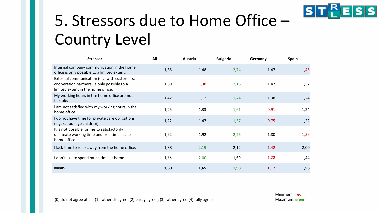

# 5. Stressors due to Home Office – Country Level

| <b>Stressor</b>                                                                                                                   | All  | Austria | <b>Bulgaria</b> | Germany | <b>Spain</b> |
|-----------------------------------------------------------------------------------------------------------------------------------|------|---------|-----------------|---------|--------------|
| Internal company communication in the home<br>office is only possible to a limited extent.                                        | 1,85 | 1,48    | 2,74            | 1,47    | 1,46         |
| External communication (e.g. with customers,<br>cooperation partners) is only possible to a<br>limited extent in the home office. | 1,69 | 1,38    | 2,16            | 1,47    | 1,57         |
| My working hours in the home office are not<br>flexible.                                                                          | 1,42 | 1,12    | 1,74            | 1,38    | 1,24         |
| I am not satisfied with my working hours in the<br>home office.                                                                   | 1,25 | 1,33    | 1,61            | 0,91    | 1,24         |
| I do not have time for private care obligations<br>(e.g. school-age children).                                                    | 1,22 | 1,47    | 1,57            | 0,75    | 1,22         |
| It is not possible for me to satisfactorily<br>delineate working time and free time in the<br>home office.                        | 1,92 | 1,92    | 2,26            | 1,80    | 1,59         |
| I lack time to relax away from the home office.                                                                                   | 1,88 | 2,19    | 2,12            | 1,42    | 2,00         |
| I don't like to spend much time at home.                                                                                          | 1,53 | 2,00    | 1,69            | 1,22    | 1,44         |
| <b>Mean</b>                                                                                                                       | 1,60 | 1,65    | 1,98            | 1,17    | 1,56         |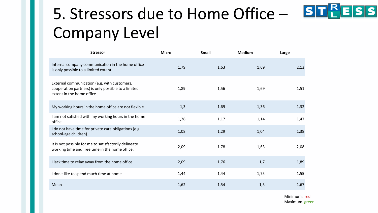# 5. Stressors due to Home Office - STPESS Company Level

| <b>Stressor</b>                                                                                                                   | <b>Micro</b> | <b>Small</b> | <b>Medium</b> | Large |
|-----------------------------------------------------------------------------------------------------------------------------------|--------------|--------------|---------------|-------|
| Internal company communication in the home office<br>is only possible to a limited extent.                                        | 1,79         | 1,63         | 1,69          | 2,13  |
| External communication (e.g. with customers,<br>cooperation partners) is only possible to a limited<br>extent in the home office. | 1,89         | 1,56         | 1,69          | 1,51  |
| My working hours in the home office are not flexible.                                                                             | 1,3          | 1,69         | 1,36          | 1,32  |
| I am not satisfied with my working hours in the home<br>office.                                                                   | 1,28         | 1,17         | 1,14          | 1,47  |
| I do not have time for private care obligations (e.g.<br>school-age children).                                                    | 1,08         | 1,29         | 1,04          | 1,38  |
| It is not possible for me to satisfactorily delineate<br>working time and free time in the home office.                           | 2,09         | 1,78         | 1,63          | 2,08  |
| I lack time to relax away from the home office.                                                                                   | 2,09         | 1,76         | 1,7           | 1,89  |
| I don't like to spend much time at home.                                                                                          | 1,44         | 1,44         | 1,75          | 1,55  |
| Mean                                                                                                                              | 1,62         | 1,54         | 1,5           | 1,67  |

Minimum: red Maximum: green

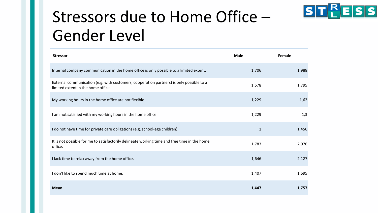

### Stressors due to Home Office – Gender Level

| <b>Stressor</b>                                                                                                                | <b>Male</b>  | Female |
|--------------------------------------------------------------------------------------------------------------------------------|--------------|--------|
| Internal company communication in the home office is only possible to a limited extent.                                        | 1,706        | 1,988  |
| External communication (e.g. with customers, cooperation partners) is only possible to a<br>limited extent in the home office. | 1,578        | 1,795  |
| My working hours in the home office are not flexible.                                                                          | 1,229        | 1,62   |
| I am not satisfied with my working hours in the home office.                                                                   | 1,229        | 1,3    |
| I do not have time for private care obligations (e.g. school-age children).                                                    | $\mathbf{1}$ | 1,456  |
| It is not possible for me to satisfactorily delineate working time and free time in the home<br>office.                        | 1,783        | 2,076  |
| I lack time to relax away from the home office.                                                                                | 1,646        | 2,127  |
| I don't like to spend much time at home.                                                                                       | 1,407        | 1,695  |
| <b>Mean</b>                                                                                                                    | 1,447        | 1,757  |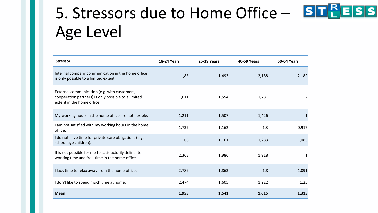# 5. Stressors due to Home Office – STEESS Age Level

| <b>Stressor</b>                                                                                                                   | <b>18-24 Years</b> | <b>25-39 Years</b> | <b>40-59 Years</b> | <b>60-64 Years</b> |
|-----------------------------------------------------------------------------------------------------------------------------------|--------------------|--------------------|--------------------|--------------------|
| Internal company communication in the home office<br>is only possible to a limited extent.                                        | 1,85               | 1,493              | 2,188              | 2,182              |
| External communication (e.g. with customers,<br>cooperation partners) is only possible to a limited<br>extent in the home office. | 1,611              | 1,554              | 1,781              | 2                  |
| My working hours in the home office are not flexible.                                                                             | 1,211              | 1,507              | 1,426              | 1                  |
| I am not satisfied with my working hours in the home<br>office.                                                                   | 1,737              | 1,162              | 1,3                | 0,917              |
| I do not have time for private care obligations (e.g.<br>school-age children).                                                    | 1,6                | 1,161              | 1,283              | 1,083              |
| It is not possible for me to satisfactorily delineate<br>working time and free time in the home office.                           | 2,368              | 1,986              | 1,918              | 1                  |
| I lack time to relax away from the home office.                                                                                   | 2,789              | 1,863              | 1,8                | 1,091              |
| I don't like to spend much time at home.                                                                                          | 2,474              | 1,605              | 1,222              | 1,25               |
| <b>Mean</b>                                                                                                                       | 1,955              | 1,541              | 1,615              | 1,315              |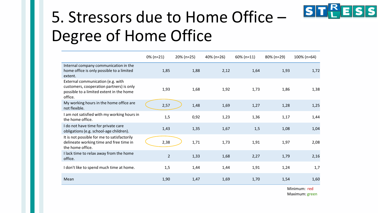

# 5. Stressors due to Home Office – Degree of Home Office

|                                                                                                                                      | $0\%$ (n=21)   | 20% (n=25) | 40% (n=26) | $60\%$ (n=11) | 80% (n=29) | 100% (n=64) |
|--------------------------------------------------------------------------------------------------------------------------------------|----------------|------------|------------|---------------|------------|-------------|
| Internal company communication in the<br>home office is only possible to a limited<br>extent.                                        | 1,85           | 1,88       | 2,12       | 1,64          | 1,93       | 1,72        |
| External communication (e.g. with<br>customers, cooperation partners) is only<br>possible to a limited extent in the home<br>office. | 1,93           | 1,68       | 1,92       | 1,73          | 1,86       | 1,38        |
| My working hours in the home office are<br>not flexible.                                                                             | 2,57           | 1,48       | 1,69       | 1,27          | 1,28       | 1,25        |
| I am not satisfied with my working hours in<br>the home office.                                                                      | 1,5            | 0,92       | 1,23       | 1,36          | 1,17       | 1,44        |
| I do not have time for private care<br>obligations (e.g. school-age children).                                                       | 1,43           | 1,35       | 1,67       | 1,5           | 1,08       | 1,04        |
| It is not possible for me to satisfactorily<br>delineate working time and free time in<br>the home office.                           | 2,38           | 1,71       | 1,73       | 1,91          | 1,97       | 2,08        |
| I lack time to relax away from the home<br>office.                                                                                   | $\overline{2}$ | 1,33       | 1,68       | 2,27          | 1,79       | 2,16        |
| I don't like to spend much time at home.                                                                                             | 1,5            | 1,44       | 1,44       | 1,91          | 1,24       | 1,7         |
| Mean                                                                                                                                 | 1,90           | 1,47       | 1,69       | 1,70          | 1,54       | 1,60        |

Minimum: red Maximum: green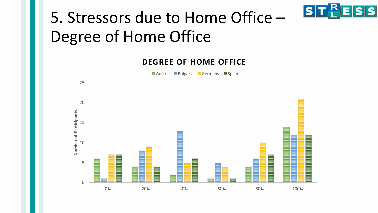

### 5. Stressors due to Home Office – Degree of Home Office

#### **DEGREE OF HOME OFFICE**

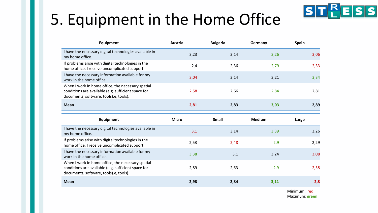

# 5. Equipment in the Home Office

| Equipment                                                                                                                                          | Austria      | <b>Bulgaria</b> | Germany       | <b>Spain</b> |
|----------------------------------------------------------------------------------------------------------------------------------------------------|--------------|-----------------|---------------|--------------|
| I have the necessary digital technologies available in<br>my home office.                                                                          | 3,23         | 3,14            | 3,26          | 3,06         |
| If problems arise with digital technologies in the<br>home office, I receive uncomplicated support.                                                | 2,4          | 2,36            | 2,79          | 2,33         |
| I have the necessary information available for my<br>work in the home office.                                                                      | 3,04         | 3,14            | 3,21          | 3,34         |
| When I work in home office, the necessary spatial<br>conditions are available (e.g. sufficient space for<br>documents, software, tools).e, tools). | 2,58         | 2,66            | 2,84          | 2,81         |
| <b>Mean</b>                                                                                                                                        | 2,81         | 2,83            | 3,03          | 2,89         |
|                                                                                                                                                    |              |                 |               |              |
| Equipment                                                                                                                                          | <b>Micro</b> | <b>Small</b>    | <b>Medium</b> | Large        |
| I have the necessary digital technologies available in<br>my home office.                                                                          | 3,1          | 3,14            | 3,39          | 3,26         |
| If problems arise with digital technologies in the<br>home office, I receive uncomplicated support.                                                | 2,53         | 2,48            | 2,9           | 2,29         |
| I have the necessary information available for my<br>work in the home office.                                                                      | 3,38         | 3,1             | 3,24          | 3,08         |
| When I work in home office, the necessary spatial<br>conditions are available (e.g. sufficient space for<br>documents, software, tools).e, tools). | 2,89         | 2,63            | 2,9           | 2,58         |

Minimum: red Maximum: green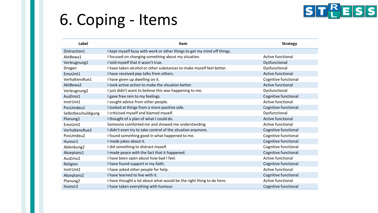### 6. Coping - Items



| Label                | <b>Item</b>                                                             | <b>Strategy</b>          |
|----------------------|-------------------------------------------------------------------------|--------------------------|
| Distraction1         | I kept myself busy with work or other things to get my mind off things. |                          |
| AktBewa1             | I focused on changing something about my situation.                     | Active functional        |
| Verleugnung1         | I told myself that it wasn't true.                                      | Dysfunctional            |
| Drogen               | I have taken alcohol or other substances to make myself feel better.    | Dysfunctional            |
| EmoUnt1              | I have received pep talks from others.                                  | Active functional        |
| VerhaltensRue1       | I have given up dwelling on it.                                         | Cognitive functional     |
| AktBewa2             | I took active action to make the situation better.                      | <b>Active functional</b> |
| Verleugnung2         | I just didn't want to believe this was happening to me.                 | Dysfunctional            |
| AusEmo1              | I gave free rein to my feelings.                                        | Cognitive functional     |
| InstrUnt1            | I sought advice from other people.                                      | Active functional        |
| PosUmdeu1            | I looked at things from a more positive side.                           | Cognitive functional     |
| Selbstbeschuldigung  | I criticised myself and blamed myself.                                  | Dysfunctional            |
| Planung1             | I thought of a plan of what I could do.                                 | Active functional        |
| EmoUnt2              | Someone comforted me and showed me understanding.                       | Active functional        |
| VerhaltensRue2       | I didn't even try to take control of the situation anymore.             | Cognitive functional     |
| PosUmdeu2            | I found something good in what happened to me.                          | Cognitive functional     |
| Humor1               | I made jokes about it.                                                  | Cognitive functional     |
| Ablenkung2           | I did something to distract myself.                                     | Cognitive functional     |
| Akzeptanz1           | I made peace with the fact that it happened.                            | Cognitive functional     |
| AusEmo2              | I have been open about how bad I feel.                                  | Active functional        |
| Religion             | I have found support in my faith.                                       | Cognitive functional     |
| InstrUnt2            | I have asked other people for help.                                     | Active functional        |
| Akzeptanz2           | I have learned to live with it.                                         | Cognitive functional     |
| Planung <sub>2</sub> | I have thought a lot about what would be the right thing to do here.    | Active functional        |
| Humor <sub>2</sub>   | I have taken everything with humour.                                    | Cognitive functional     |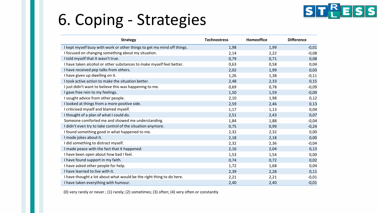# 6. Coping - Strategies



| <b>Strategy</b>                                                         | <b>Technostress</b> | Homeoffice | <b>Difference</b> |
|-------------------------------------------------------------------------|---------------------|------------|-------------------|
| I kept myself busy with work or other things to get my mind off things. | 1,98                | 1,99       | $-0,01$           |
| I focused on changing something about my situation.                     | 2,14                | 2,22       | $-0,08$           |
| I told myself that it wasn't true.                                      | 0,79                | 0,71       | 0,08              |
| I have taken alcohol or other substances to make myself feel better.    | 0,63                | 0,58       | 0,04              |
| I have received pep talks from others.                                  | 2,02                | 1,99       | 0,03              |
| I have given up dwelling on it.                                         | 1,26                | 1,38       | $-0,11$           |
| I took active action to make the situation better.                      | 2,48                | 2,33       | 0,15              |
| I just didn't want to believe this was happening to me.                 | 0,69                | 0,78       | $-0,09$           |
| I gave free rein to my feelings.                                        | 1,50                | 1,59       | $-0,09$           |
| I sought advice from other people.                                      | 2,10                | 1,98       | 0,12              |
| I looked at things from a more positive side.                           | 2,59                | 2,46       | 0,13              |
| I criticised myself and blamed myself.                                  | 1,17                | 1,13       | 0,04              |
| I thought of a plan of what I could do.                                 | 2,51                | 2,43       | 0,07              |
| Someone comforted me and showed me understanding.                       | 1,84                | 1,88       | $-0,04$           |
| I didn't even try to take control of the situation anymore.             | 0,75                | 0,99       | $-0,24$           |
| I found something good in what happened to me.                          | 2,32                | 2,32       | 0,00              |
| I made jokes about it.                                                  | 2,18                | 2,18       | 0,00              |
| I did something to distract myself.                                     | 2,32                | 2,36       | $-0,04$           |
| I made peace with the fact that it happened.                            | 2,16                | 2,04       | 0,13              |
| I have been open about how bad I feel.                                  | 1,53                | 1,54       | 0,00              |
| I have found support in my faith.                                       | 0,74                | 0,72       | 0,02              |
| I have asked other people for help.                                     | 1,72                | 1,68       | 0,04              |
| I have learned to live with it.                                         | 2,39                | 2,28       | 0,11              |
| I have thought a lot about what would be the right thing to do here.    | 2,21                | 2,21       | $-0,01$           |
| I have taken everything with humour.                                    | 2,40                | 2,40       | $-0,01$           |

(0) very rarely or never ; (1) rarely; (2) sometimes; (3) often; (4) very often or constantly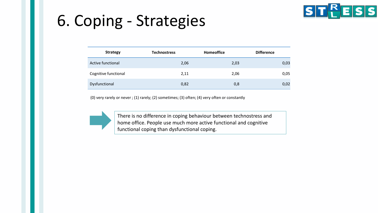### 6. Coping - Strategies



| <b>Strategy</b>      | <b>Technostress</b> | Homeoffice | <b>Difference</b> |
|----------------------|---------------------|------------|-------------------|
| Active functional    | 2,06                | 2,03       | 0,03              |
| Cognitive functional | 2,11                | 2,06       | 0,05              |
| Dysfunctional        | 0,82                | 0,8        | 0,02              |

(0) very rarely or never ; (1) rarely; (2) sometimes; (3) often; (4) very often or constantly

There is no difference in coping behaviour between technostress and home office. People use much more active functional and cognitive functional coping than dysfunctional coping.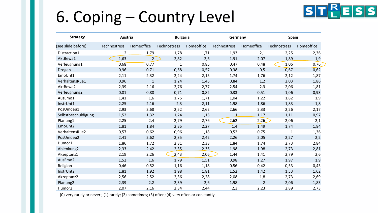### 6. Coping – Country Level



| <b>Strategy</b>      | Austria        |                | <b>Bulgaria</b> |            | Germany      |                | <b>Spain</b> |            |  |
|----------------------|----------------|----------------|-----------------|------------|--------------|----------------|--------------|------------|--|
| (see slide before)   | Technostress   | Homeoffice     | Technostress    | Homeoffice | Technostress | Homeoffice     | Technostress | Homeoffice |  |
| Distraction1         | $\overline{2}$ | 1,79           | 1,78            | 1,71       | 1,93         | 2,1            | 2,25         | 2,36       |  |
| AktBewa1             | 1,63           | $\overline{2}$ | 2,82            | 2,6        | 1,91         | 2,07           | 1,89         | 1,9        |  |
| Verleugnung1         | 0,68           | 0,77           | $\mathbf 1$     | 0,85       | 0,47         | 0,48           | 1,06         | 0,76       |  |
| Drogen               | 0,96           | 0,71           | 0,68            | 0,57       | 0,38         | 0,5            | 0,67         | 0,62       |  |
| EmoUnt1              | 2,11           | 2,32           | 2,24            | 2,15       | 1,74         | 1,76           | 2,12         | 1,87       |  |
| VerhaltensRue1       | 0,96           | $\mathbf{1}$   | 1,24            | 1,45       | 0,84         | 1,2            | 2,03         | 1,86       |  |
| AktBewa2             | 2,39           | 2,16           | 2,76            | 2,77       | 2,54         | 2,3            | 2,06         | 1,81       |  |
| Verleugnung2         | 0,81           | 0,88           | 0,71            | 0,82       | 0,33         | 0,51           | 1,06         | 0,93       |  |
| AusEmo1              | 1,41           | 1,6            | 1,75            | 1,71       | 1,04         | 1,22           | 1,82         | 1,9        |  |
| InstrUnt1            | 2,25           | 2,16           | 2,3             | 2,11       | 1,98         | 1,86           | 1,83         | 1,8        |  |
| PosUmdeu1            | 2,93           | 2,68           | 2,52            | 2,62       | 2,66         | 2,33           | 2,26         | 2,17       |  |
| Selbstbeschuldigung  | 1,52           | 1,32           | 1,24            | 1,13       | $\mathbf{1}$ | 1,17           | 1,11         | 0,97       |  |
| Planung1             | 2,25           | 2,4            | 2,79            | 2,76       | 2,62         | 2,26           | 2,06         | 2,1        |  |
| EmoUnt2              | 1,81           | 1,84           | 2,35            | 2,27       | 1,4          | 1,49           | 1,74         | 1,84       |  |
| VerhaltensRue2       | 0,57           | 0,62           | 0,96            | 1,18       | 0,52         | 0,75           | 1            | 1,36       |  |
| PosUmdeu2            | 2,41           | 2,62           | 2,35            | 2,42       | 2,26         | 2,05           | 2,27         | 2,2        |  |
| Humor1               | 1,86           | 1,72           | 2,31            | 2,33       | 1,84         | 1,74           | 2,73         | 2,84       |  |
| Ablenkung2           | 2,33           | 2,42           | 2,35            | 2,36       | 1,98         | 1,98           | 2,73         | 2,81       |  |
| Akzeptanz1           | 2,19           | 2,26           | 2,43            | 2,06       | 1,44         | 1,41           | 2,79         | 2,6        |  |
| AusEmo2              | 1,52           | 1,6            | 1,79            | 1,51       | 0,98         | 1,27           | 1,97         | 1,9        |  |
| Religion             | 0,46           | 0,52           | 1,16            | 1,18       | 0,56         | 0,42           | 0,53         | 0,43       |  |
| InstrUnt2            | 1,81           | 1,92           | 1,98            | 1,81       | 1,52         | 1,42           | 1,53         | 1,62       |  |
| Akzeptanz2           | 2,56           | 2,52           | 2,36            | 2,28       | 2,08         | 1,8            | 2,73         | 2,69       |  |
| Planung <sub>2</sub> | 2,39           | 2,2            | 2,39            | 2,6        | 1,98         | $\overline{2}$ | 2,06         | 1,83       |  |
| Humor <sub>2</sub>   | 2,07           | 2,16           | 2,34            | 2,44       | 2,3          | 2,23           | 2,89         | 2,73       |  |

(0) very rarely or never ; (1) rarely; (2) sometimes; (3) often; (4) very often or constantly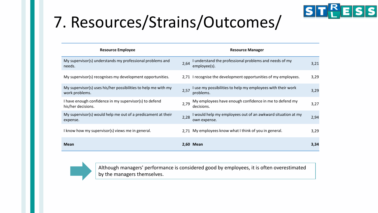

# 7. Resources/Strains/Outcomes/

| <b>Resource Employee</b>                                                         | <b>Resource Manager</b>                                                             |      |
|----------------------------------------------------------------------------------|-------------------------------------------------------------------------------------|------|
| My supervisor(s) understands my professional problems and<br>needs.              | I understand the professional problems and needs of my<br>2,64<br>employee(s).      | 3,21 |
| My supervisor(s) recognises my development opportunities.                        | 2,71 I recognise the development opportunities of my employees.                     | 3,29 |
| My supervisor(s) uses his/her possibilities to help me with my<br>work problems. | I use my possibilities to help my employees with their work<br>2,57<br>problems.    | 3,29 |
| I have enough confidence in my supervisor(s) to defend<br>his/her decisions.     | My employees have enough confidence in me to defend my<br>2,79<br>decisions.        | 3,27 |
| My supervisor(s) would help me out of a predicament at their<br>expense.         | I would help my employees out of an awkward situation at my<br>2,28<br>own expense. | 2,94 |
| I know how my supervisor(s) views me in general.                                 | 2,71 My employees know what I think of you in general.                              | 3,29 |
| <b>Mean</b>                                                                      | 2,60 Mean                                                                           | 3,34 |



Although managers' performance is considered good by employees, it is often overestimated by the managers themselves.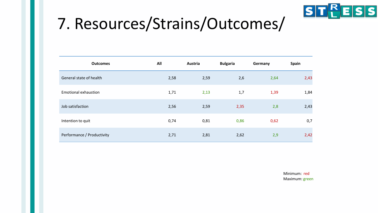

### 7. Resources/Strains/Outcomes/

| <b>Outcomes</b>             | All  | Austria | <b>Bulgaria</b> | Germany | <b>Spain</b> |
|-----------------------------|------|---------|-----------------|---------|--------------|
| General state of health     | 2,58 | 2,59    | 2,6             | 2,64    | 2,43         |
| <b>Emotional exhaustion</b> | 1,71 | 2,13    | 1,7             | 1,39    | 1,84         |
| Job satisfaction            | 2,56 | 2,59    | 2,35            | 2,8     | 2,43         |
| Intention to quit           | 0,74 | 0,81    | 0,86            | 0,62    | 0,7          |
| Performance / Productivity  | 2,71 | 2,81    | 2,62            | 2,9     | 2,42         |

Minimum: red Maximum: green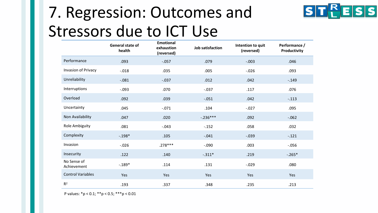# 7. Regression: Outcomes and Stressors due to ICT Use



**STPESS** 

P values: \*p < 0.1; \*\*p < 0.5; \*\*\*p < 0.01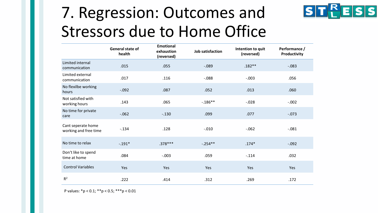### 7. Regression: Outcomes and Stressors due to Home Office



**STPESS** 

P values: \*p < 0.1; \*\*p < 0.5; \*\*\*p < 0.01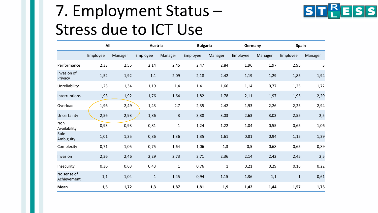### 7. Employment Status – Stress due to ICT Use



|                            | All      |         | Austria      |                         | <b>Bulgaria</b> |             | Germany  |         | Spain        |         |
|----------------------------|----------|---------|--------------|-------------------------|-----------------|-------------|----------|---------|--------------|---------|
|                            | Employee | Manager | Employee     | Manager                 | Employee        | Manager     | Employee | Manager | Employee     | Manager |
| Performance                | 2,33     | 2,55    | 2,14         | 2,45                    | 2,47            | 2,84        | 1,96     | 1,97    | 2,95         | 3       |
| Invasion of<br>Privacy     | 1,52     | 1,92    | 1,1          | 2,09                    | 2,18            | 2,42        | 1,19     | 1,29    | 1,85         | 1,94    |
| Unreliability              | 1,23     | 1,34    | 1,19         | 1,4                     | 1,41            | 1,66        | 1,14     | 0,77    | 1,25         | 1,72    |
| Interruptions              | 1,93     | 1,92    | 1,76         | 1,64                    | 1,82            | 1,78        | 2,11     | 1,97    | 1,95         | 2,29    |
| Overload                   | 1,96     | 2,49    | 1,43         | 2,7                     | 2,35            | 2,42        | 1,93     | 2,26    | 2,25         | 2,94    |
| Uncertainty                | 2,56     | 2,93    | 1,86         | $\overline{\mathbf{3}}$ | 3,38            | 3,03        | 2,63     | 3,03    | 2,55         | 2,5     |
| Non<br>Availability        | 0,93     | 0,93    | 0,81         | $\mathbf{1}$            | 1,24            | 1,22        | 1,04     | 0,55    | 0,65         | 1,06    |
| Role<br>Ambiguity          | 1,01     | 1,35    | 0,86         | 1,36                    | 1,35            | 1,61        | 0,81     | 0,94    | 1,15         | 1,39    |
| Complexity                 | 0,71     | 1,05    | 0,75         | 1,64                    | 1,06            | 1,3         | 0,5      | 0,68    | 0,65         | 0,89    |
| Invasion                   | 2,36     | 2,46    | 2,29         | 2,73                    | 2,71            | 2,36        | 2,14     | 2,42    | 2,45         | 2,5     |
| Insecurity                 | 0,36     | 0,63    | 0,43         | $\mathbf{1}$            | 0,76            | $\mathbf 1$ | 0,21     | 0,29    | 0,16         | 0,22    |
| No sense of<br>Achievement | 1,1      | 1,04    | $\mathbf{1}$ | 1,45                    | 0,94            | 1,15        | 1,36     | 1,1     | $\mathbf{1}$ | 0,61    |
| Mean                       | 1,5      | 1,72    | 1,3          | 1,87                    | 1,81            | 1,9         | 1,42     | 1,44    | 1,57         | 1,75    |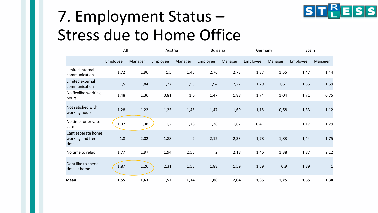

# 7. Employment Status – Stress due to Home Office

|                                                | All      |         | Austria  |                | <b>Bulgaria</b> |         | Germany  |             | Spain    |              |
|------------------------------------------------|----------|---------|----------|----------------|-----------------|---------|----------|-------------|----------|--------------|
|                                                | Employee | Manager | Employee | Manager        | Employee        | Manager | Employee | Manager     | Employee | Manager      |
| Limited internal<br>communication              | 1,72     | 1,96    | 1,5      | 1,45           | 2,76            | 2,73    | 1,37     | 1,55        | 1,47     | 1,44         |
| Limited external<br>communication              | 1,5      | 1,84    | 1,27     | 1,55           | 1,94            | 2,27    | 1,29     | 1,61        | 1,55     | 1,59         |
| No flexilbe working<br>hours                   | 1,48     | 1,36    | 0,81     | 1,6            | 1,47            | 1,88    | 1,74     | 1,04        | 1,71     | 0,75         |
| Not satisfied with<br>working hours            | 1,28     | 1,22    | 1,25     | 1,45           | 1,47            | 1,69    | 1,15     | 0,68        | 1,33     | 1,12         |
| No time for private<br>care                    | 1,02     | 1,38    | 1,2      | 1,78           | 1,38            | 1,67    | 0,41     | $\mathbf 1$ | 1,17     | 1,29         |
| Cant seperate home<br>working and free<br>time | 1,8      | 2,02    | 1,88     | $\overline{2}$ | 2,12            | 2,33    | 1,78     | 1,83        | 1,44     | 1,75         |
| No time to relax                               | 1,77     | 1,97    | 1,94     | 2,55           | $\overline{2}$  | 2,18    | 1,46     | 1,38        | 1,87     | 2,12         |
| Dont like to spend<br>time at home             | 1,87     | 1,26    | 2,31     | 1,55           | 1,88            | 1,59    | 1,59     | 0,9         | 1,89     | $\mathbf{1}$ |
| Mean                                           | 1,55     | 1,63    | 1,52     | 1,74           | 1,88            | 2,04    | 1,35     | 1,25        | 1,55     | 1,38         |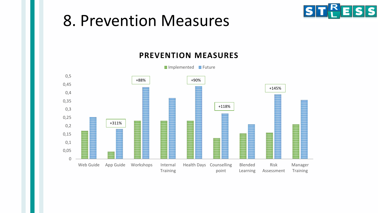#### 8. Prevention Measures



#### **PREVENTION MEASURES**



 $\blacksquare$  Implemented  $\blacksquare$  Future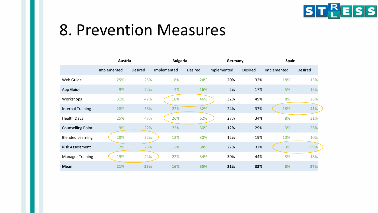

#### 8. Prevention Measures

|                          | Austria     |         | <b>Bulgaria</b> |                | Germany     |     |         | <b>Spain</b> |                |  |
|--------------------------|-------------|---------|-----------------|----------------|-------------|-----|---------|--------------|----------------|--|
|                          | Implemented | Desired | Implemented     | <b>Desired</b> | Implemented |     | Desired | Implemented  | <b>Desired</b> |  |
| Web Guide                | 25%         | 25%     | 6%              | 24%            |             | 20% | 32%     | 18%          | 13%            |  |
| App Guide                | 9%          | 22%     | 4%              | 16%            |             | 2%  | 17%     | 5%           | 15%            |  |
| Workshops                | 31%         | 47%     | 18%             | 46%            |             | 32% | 49%     | 8%           | 28%            |  |
| <b>Internal Training</b> | 28%         | 38%     | 22%             | 32%            |             | 24% | 37%     | 18%          | 41%            |  |
| <b>Health Days</b>       | 25%         | 47%     | 26%             | 62%            |             | 27% | 34%     | 8%           | 31%            |  |
| <b>Counselling Point</b> | 9%          | 22%     | 22%             | 30%            |             | 12% | 29%     | 3%           | 26%            |  |
| <b>Blended Learning</b>  | 28%         | 22%     | 12%             | 30%            |             | 12% | 19%     | 10%          | 10%            |  |
| <b>Risk Assessment</b>   | 12%         | 28%     | 12%             | 38%            |             | 27% | 32%     | 3%           | 59%            |  |
| <b>Manager Training</b>  | 19%         | 44%     | 22%             | 34%            |             | 30% | 44%     | 3%           | 18%            |  |
| <b>Mean</b>              | 21%         | 33%     | 16%             | 35%            |             | 21% | 33%     | 8%           | 27%            |  |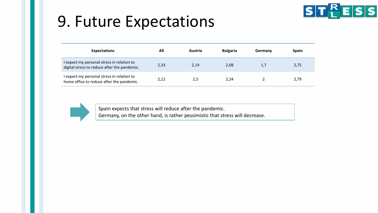### 9. Future Expectations



| <b>Expectations</b>                                                                        | All  | Austria | <b>Bulgaria</b> | Germany | <b>Spain</b> |
|--------------------------------------------------------------------------------------------|------|---------|-----------------|---------|--------------|
| I expect my personal stress in relation to<br>digital stress to reduce after the pandemic. | 2,33 | 2,14    | 2,08            | 1,7     | 2,75         |
| I expect my personal stress in relation to<br>home office to reduce after the pandemic.    | 2,12 | 2,5     | 2,24            |         | 2,79         |



Spain expects that stress will reduce after the pandemic. Germany, on the other hand, is rather pessimistic that stress will decrease.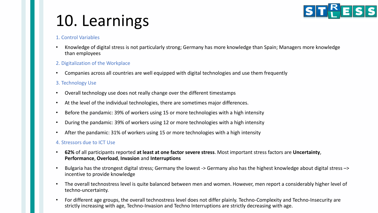

### 10. Learnings

#### 1. Control Variables

• Knowledge of digital stress is not particularly strong; Germany has more knowledge than Spain; Managers more knowledge than employees

#### 2. Digitalization of the Workplace

• Companies across all countries are well equipped with digital technologies and use them frequently

#### 3. Technology Use

- Overall technology use does not really change over the different timestamps
- At the level of the individual technologies, there are sometimes major differences.
- Before the pandamic: 39% of workers using 15 or more technologies with a high intensity
- During the pandamic: 39% of workers using 12 or more technologies with a high intensity
- After the pandamic: 31% of workers using 15 or more technologies with a high intensity

#### 4. Stressors due to ICT Use

- **62%** of all participants reported **at least at one factor severe stress**. Most important stress factors are **Uncertainty**, **Performance**, **Overload**, **Invasion** and **Interruptions**
- Bulgaria has the strongest digital stress; Germany the lowest -> Germany also has the highest knowledge about digital stress –> incentive to provide knowledge
- The overall technostress level is quite balanced between men and women. However, men report a considerably higher level of techno-uncertainty.
- For different age groups, the overall technostress level does not differ plainly. Techno-Complexity and Techno-Insecurity are strictly increasing with age, Techno-Invasion and Techno Interruptions are strictly decreasing with age.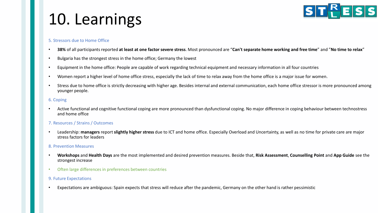#### **ST<sup>R</sup>ESS**

# 10. Learnings

#### 5. Stressors due to Home Office

- **38%** of all participants reported **at least at one factor severe stress**. Most pronounced are "**Can't separate home working and free time**" and "**No time to relax**"
- Bulgaria has the strongest stress in the home office; Germany the lowest
- Equipment in the home office: People are capable of work regarding technical equipment and necessary information in all four countries
- Women report a higher level of home office stress, especially the lack of time to relax away from the home office is a major issue for women.
- Stress due to home office is strictly decreasing with higher age. Besides internal and external communication, each home office stressor is more pronounced among younger people.

#### 6. Coping

• Active functional and cognitive functional coping are more pronounced than dysfunctional coping. No major difference in coping behaviour between technostress and home office

#### 7. Resources / Strains / Outcomes

• Leadership: **managers** report **slightly higher stress** due to ICT and home office. Especially Overload and Uncertainty, as well as no time for private care are major stress factors for leaders

#### 8. Prevention Measures

- **Workshops** and **Health Days** are the most implemented and desired prevention measures. Beside that, **Risk Assessment**, **Counselling Point** and **App Guide** see the strongest increase
- Often large differences in preferences between countries

#### 9. Future Expectations

• Expectations are ambiguous: Spain expects that stress will reduce after the pandemic, Germany on the other hand is rather pessimistic